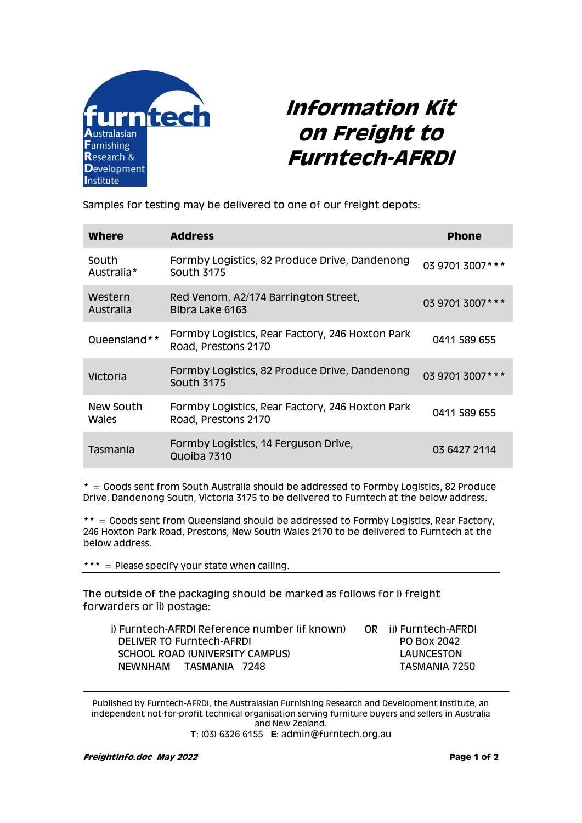

## **Information Kit on Freight to Furntech-AFRDI**

Samples for testing may be delivered to one of our freight depots:

| <b>Where</b>         | <b>Address</b>                                                         | <b>Phone</b>     |
|----------------------|------------------------------------------------------------------------|------------------|
| South<br>Australia*  | Formby Logistics, 82 Produce Drive, Dandenong<br><b>South 3175</b>     | 03 9701 3007 *** |
| Western<br>Australia | Red Venom, A2/174 Barrington Street,<br>Bibra Lake 6163                | 03 9701 3007 *** |
| Queensland**         | Formby Logistics, Rear Factory, 246 Hoxton Park<br>Road, Prestons 2170 | 0411 589 655     |
| Victoria             | Formby Logistics, 82 Produce Drive, Dandenong<br><b>South 3175</b>     | 03 9701 3007 *** |
| New South<br>Wales   | Formby Logistics, Rear Factory, 246 Hoxton Park<br>Road, Prestons 2170 | 0411 589 655     |
| Tasmania             | Formby Logistics, 14 Ferguson Drive,<br>Quoiba 7310                    | 03 6427 2114     |

**\*** = Goods sent from South Australia should be addressed to Formby Logistics, 82 Produce Drive, Dandenong South, Victoria 3175 to be delivered to Furntech at the below address.

**\*\*** = Goods sent from Queensland should be addressed to Formby Logistics, Rear Factory, 246 Hoxton Park Road, Prestons, New South Wales 2170 to be delivered to Furntech at the below address.

**\*\*\*** = Please specify your state when calling.

The outside of the packaging should be marked as follows for i) freight forwarders or ii) postage:

| i) Furntech-AFRDI Reference number (if known) | OR ii) Furntech-AFRDI |
|-----------------------------------------------|-----------------------|
| <b>DELIVER TO Furntech-AFRDI</b>              | PO BOX 2042           |
| SCHOOL ROAD (UNIVERSITY CAMPUS)               | LAUNCESTON            |
| NEWNHAM TASMANIA 7248                         | TASMANIA 7250         |

Published by Furntech-AFRDI, the Australasian Furnishing Research and Development Institute, an independent not-for-profit technical organisation serving furniture buyers and sellers in Australia and New Zealand. **T**: (03) 6326 6155 **E**: admin@furntech.org.au